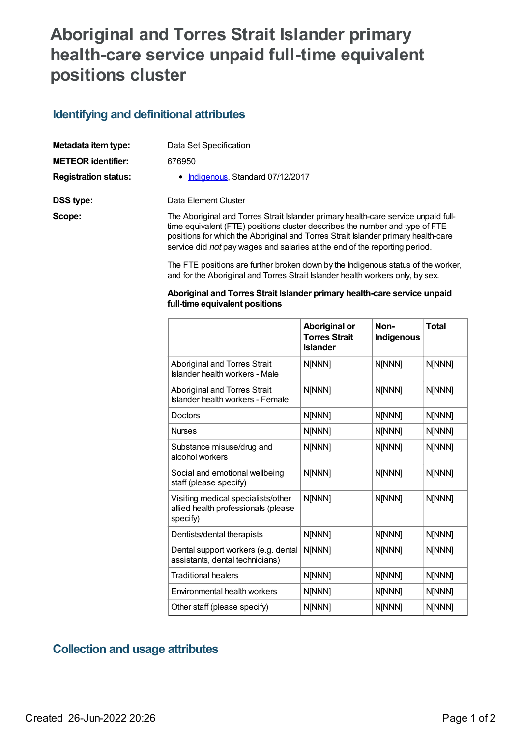# **Aboriginal and Torres Strait Islander primary health-care service unpaid full-time equivalent positions cluster**

#### **Identifying and definitional attributes**

| Metadata item type:         | Data Set Specification                                                                                                                                                                                                                                                                                                                |
|-----------------------------|---------------------------------------------------------------------------------------------------------------------------------------------------------------------------------------------------------------------------------------------------------------------------------------------------------------------------------------|
| <b>METEOR identifier:</b>   | 676950                                                                                                                                                                                                                                                                                                                                |
| <b>Registration status:</b> | • Indigenous, Standard 07/12/2017                                                                                                                                                                                                                                                                                                     |
| DSS type:                   | Data Element Cluster                                                                                                                                                                                                                                                                                                                  |
| Scope:                      | The Aboriginal and Torres Strait Islander primary health-care service unpaid full-<br>time equivalent (FTE) positions cluster describes the number and type of FTE<br>positions for which the Aboriginal and Torres Strait Islander primary health-care<br>service did not pay wages and salaries at the end of the reporting period. |

The FTE positions are further broken down by the Indigenous status of the worker, and for the Aboriginal and Torres Strait Islander health workers only, by sex.

| Aboriginal and Torres Strait Islander primary health-care service unpaid |  |
|--------------------------------------------------------------------------|--|
| full-time equivalent positions                                           |  |

|                                                                                       | Aboriginal or<br><b>Torres Strait</b><br><b>Islander</b> | Non-<br>Indigenous | <b>Total</b> |
|---------------------------------------------------------------------------------------|----------------------------------------------------------|--------------------|--------------|
| Aboriginal and Torres Strait<br>Islander health workers - Male                        | N[NNN]                                                   | N[NNN]             | N[NNN]       |
| Aboriginal and Torres Strait<br>Islander health workers - Female                      | N[NNN]                                                   | N[NNN]             | N[NNN]       |
| Doctors                                                                               | N[NNN]                                                   | N[NNN]             | N[NNN]       |
| <b>Nurses</b>                                                                         | N[NNN]                                                   | N[NNN]             | N[NNN]       |
| Substance misuse/drug and<br>alcohol workers                                          | N[NNN]                                                   | N[NNN]             | N[NNN]       |
| Social and emotional wellbeing<br>staff (please specify)                              | N[NNN]                                                   | N[NNN]             | N[NNN]       |
| Visiting medical specialists/other<br>allied health professionals (please<br>specify) | N[NNN]                                                   | N[NNN]             | N[NNN]       |
| Dentists/dental therapists                                                            | N[NNN]                                                   | N[NNN]             | N[NNN]       |
| Dental support workers (e.g. dental<br>assistants, dental technicians)                | N[NNN]                                                   | N[NNN]             | N[NNN]       |
| <b>Traditional healers</b>                                                            | N[NNN]                                                   | N[NNN]             | N[NNN]       |
| Environmental health workers                                                          | N[NNN]                                                   | N[NNN]             | N[NNN]       |
| Other staff (please specify)                                                          | N[NNN]                                                   | N[NNN]             | N[NNN]       |

### **Collection and usage attributes**